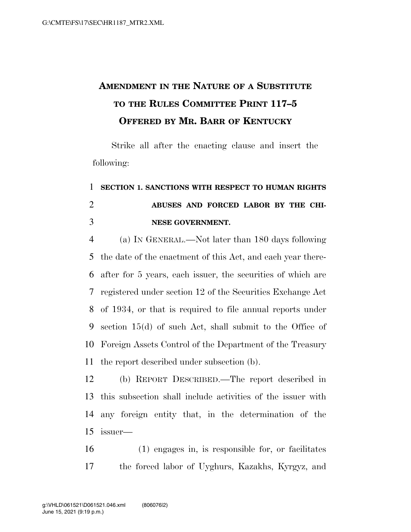## **AMENDMENT IN THE NATURE OF A SUBSTITUTE TO THE RULES COMMITTEE PRINT 117–5 OFFERED BY MR. BARR OF KENTUCKY**

Strike all after the enacting clause and insert the following:

## **SECTION 1. SANCTIONS WITH RESPECT TO HUMAN RIGHTS ABUSES AND FORCED LABOR BY THE CHI-NESE GOVERNMENT.**

 (a) IN GENERAL.—Not later than 180 days following the date of the enactment of this Act, and each year there- after for 5 years, each issuer, the securities of which are registered under section 12 of the Securities Exchange Act of 1934, or that is required to file annual reports under section 15(d) of such Act, shall submit to the Office of Foreign Assets Control of the Department of the Treasury the report described under subsection (b).

 (b) REPORT DESCRIBED.—The report described in this subsection shall include activities of the issuer with any foreign entity that, in the determination of the issuer—

 (1) engages in, is responsible for, or facilitates the forced labor of Uyghurs, Kazakhs, Kyrgyz, and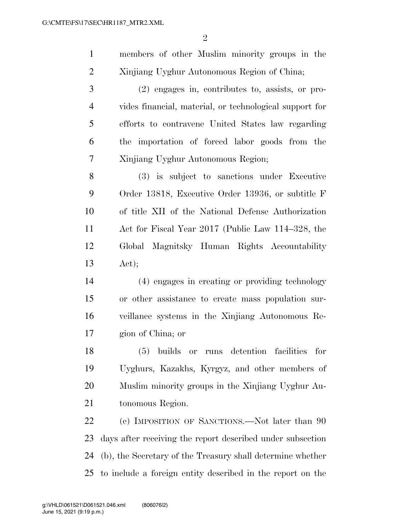members of other Muslim minority groups in the Xinjiang Uyghur Autonomous Region of China;

 (2) engages in, contributes to, assists, or pro- vides financial, material, or technological support for efforts to contravene United States law regarding the importation of forced labor goods from the Xinjiang Uyghur Autonomous Region;

 (3) is subject to sanctions under Executive Order 13818, Executive Order 13936, or subtitle F of title XII of the National Defense Authorization Act for Fiscal Year 2017 (Public Law 114–328, the Global Magnitsky Human Rights Accountability Act);

 (4) engages in creating or providing technology or other assistance to create mass population sur- veillance systems in the Xinjiang Autonomous Re-gion of China; or

 (5) builds or runs detention facilities for Uyghurs, Kazakhs, Kyrgyz, and other members of Muslim minority groups in the Xinjiang Uyghur Au-tonomous Region.

22 (c) IMPOSITION OF SANCTIONS.—Not later than 90 days after receiving the report described under subsection (b), the Secretary of the Treasury shall determine whether to include a foreign entity described in the report on the